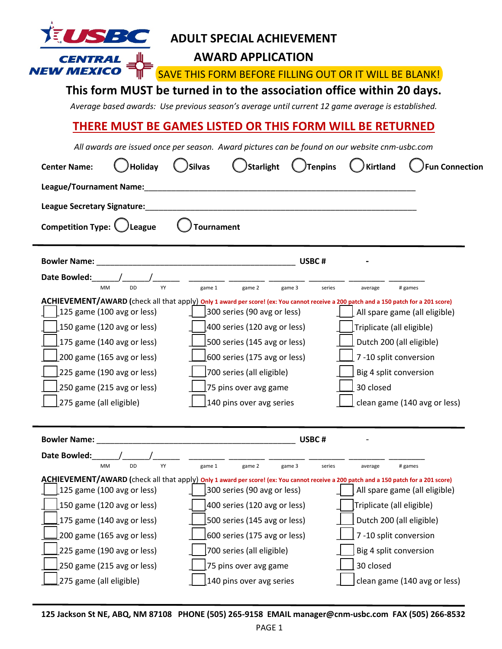| SZ BR<br><b>ADULT SPECIAL ACHIEVEMENT</b><br><b>AWARD APPLICATION</b><br>SAVE THIS FORM BEFORE FILLING OUT OR IT WILL BE BLANK!<br>This form MUST be turned in to the association office within 20 days.<br>Average based awards: Use previous season's average until current 12 game average is established. |                                                                                                                                                                                                                                                                                                                                                                                                                                                    |                                                                                                                                                                                                                         |  |  |  |  |  |  |  |
|---------------------------------------------------------------------------------------------------------------------------------------------------------------------------------------------------------------------------------------------------------------------------------------------------------------|----------------------------------------------------------------------------------------------------------------------------------------------------------------------------------------------------------------------------------------------------------------------------------------------------------------------------------------------------------------------------------------------------------------------------------------------------|-------------------------------------------------------------------------------------------------------------------------------------------------------------------------------------------------------------------------|--|--|--|--|--|--|--|
| THERE MUST BE GAMES LISTED OR THIS FORM WILL BE RETURNED                                                                                                                                                                                                                                                      |                                                                                                                                                                                                                                                                                                                                                                                                                                                    |                                                                                                                                                                                                                         |  |  |  |  |  |  |  |
| <b>Holiday</b><br><b>Center Name:</b><br><b>League/Tournament Name:</b><br>League Secretary Signature:<br>Competition Type: 1<br>League                                                                                                                                                                       | All awards are issued once per season. Award pictures can be found on our website cnm-usbc.com<br>Starlight<br><b>Silvas</b><br><b>Tournament</b>                                                                                                                                                                                                                                                                                                  | Tenpins<br><b>Kirtland</b><br><b>Fun Connection</b>                                                                                                                                                                     |  |  |  |  |  |  |  |
|                                                                                                                                                                                                                                                                                                               |                                                                                                                                                                                                                                                                                                                                                                                                                                                    |                                                                                                                                                                                                                         |  |  |  |  |  |  |  |
| <b>Bowler Name:</b><br>Date Bowled:<br>YY<br><b>DD</b><br><b>MM</b><br>125 game (100 avg or less)<br>150 game (120 avg or less)<br>175 game (140 avg or less)<br>200 game (165 avg or less)<br>225 game (190 avg or less)<br>250 game (215 avg or less)<br>275 game (all eligible)                            | <u> 1989 - Johann Barbara, martxa alemaniar a</u><br>USBC#<br>game 1<br>game 2<br>game 3<br>ACHIEVEMENT/AWARD (check all that apply) only 1 award per score! (ex: You cannot receive a 200 patch and a 150 patch for a 201 score)<br>300 series (90 avg or less)<br>400 series (120 avg or less)<br>500 series (145 avg or less)<br>600 series (175 avg or less)<br>700 series (all eligible)<br>75 pins over avg game<br>140 pins over avg series | series<br># games<br>average<br>All spare game (all eligible)<br>[Triplicate (all eligible)<br>Dutch 200 (all eligible)<br>7-10 split conversion<br>Big 4 split conversion<br>30 closed<br>clean game (140 avg or less) |  |  |  |  |  |  |  |
| <b>Bowler Name:</b>                                                                                                                                                                                                                                                                                           | USBC#                                                                                                                                                                                                                                                                                                                                                                                                                                              |                                                                                                                                                                                                                         |  |  |  |  |  |  |  |
| Date Bowled:<br>YY<br><b>DD</b><br><b>MM</b><br>125 game (100 avg or less)<br>[150 game (120 avg or less)<br>[175 game (140 avg or less)<br>200 game (165 avg or less)<br>225 game (190 avg or less)<br>250 game (215 avg or less)                                                                            | game 1<br>game 2<br>game 3<br>ACHIEVEMENT/AWARD (check all that apply) Only 1 award per score! (ex: You cannot receive a 200 patch and a 150 patch for a 201 score)<br>300 series (90 avg or less)<br>400 series (120 avg or less)<br>500 series (145 avg or less)<br>600 series (175 avg or less)<br>700 series (all eligible)<br>75 pins over avg game                                                                                           | series<br># games<br>average<br>All spare game (all eligible)<br>Triplicate (all eligible)<br>Dutch 200 (all eligible)<br>7-10 split conversion<br>Big 4 split conversion<br>30 closed                                  |  |  |  |  |  |  |  |